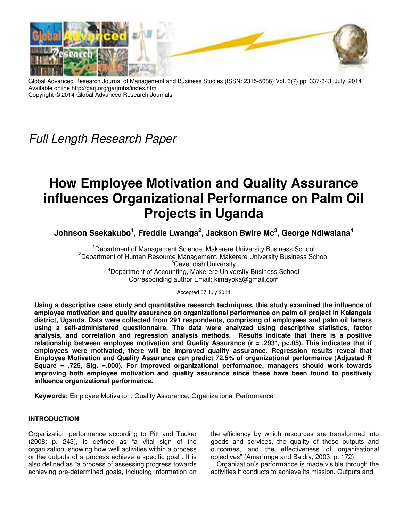

Global Advanced Research Journal of Management and Business Studies (ISSN: 2315-5086) Vol. 3(7) pp. 337-343, July, 2014 Available online http://garj.org/garjmbs/index.htm Copyright © 2014 Global Advanced Research Journals

*Full Length Research Paper*

# **How Employee Motivation and Quality Assurance influences Organizational Performance on Palm Oil Projects in Uganda**

**Johnson Ssekakubo<sup>1</sup> , Freddie Lwanga<sup>2</sup> , Jackson Bwire Mc<sup>3</sup> , George Ndiwalana<sup>4</sup>**

<sup>1</sup>Department of Management Science, Makerere University Business School <sup>2</sup>Department of Human Resource Management, Makerere University Business School <sup>3</sup>Cavendish University <sup>4</sup>Department of Accounting, Makerere University Business School Corresponding author Email: kimayoka@gmail.com

Accepted 07 July 2014

**Using a descriptive case study and quantitative research techniques, this study examined the influence of employee motivation and quality assurance on organizational performance on palm oil project in Kalangala district, Uganda. Data were collected from 291 respondents, comprising of employees and palm oil famers using a self-administered questionnaire. The data were analyzed using descriptive statistics, factor analysis, and correlation and regression analysis methods. Results indicate that there is a positive relationship between employee motivation and Quality Assurance (r = .293\*, p<.05). This indicates that if employees were motivated, there will be improved quality assurance. Regression results reveal that Employee Motivation and Quality Assurance can predict 72.5% of organizational performance (Adjusted R Square = .725, Sig. =.000). For improved organizational performance, managers should work towards improving both employee motivation and quality assurance since these have been found to positively influence organizational performance.** 

**Keywords:** Employee Motivation, Quality Assurance, Organizational Performance

# **INTRODUCTION**

Organization performance according to Pitt and Tucker (2008: p. 243), is defined as "a vital sign of the organization, showing how well activities within a process or the outputs of a process achieve a specific goal". It is also defined as "a process of assessing progress towards achieving pre-determined goals, including information on

the efficiency by which resources are transformed into goods and services, the quality of these outputs and outcomes, and the effectiveness of organizational objectives" (Amartunga and Baldry, 2003: p. 172).

Organization's performance is made visible through the activities it conducts to achieve its mission. Outputs and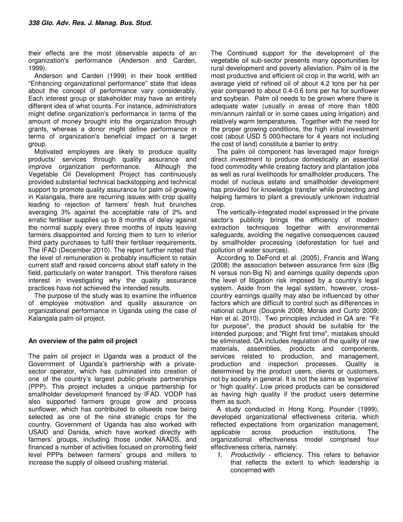their effects are the most observable aspects of an organization's performance (Anderson and Carden, 1999).

Anderson and Carden (1999) in their book entitled "Enhancing organizational performance" state that ideas about the concept of performance vary considerably. Each interest group or stakeholder may have an entirely different idea of what counts. For instance, administrators might define organization's performance in terms of the amount of money brought into the organization through grants, whereas a donor might define performance in terms of organization's beneficial impact on a target group.

Motivated employees are likely to produce quality products/ services through quality assurance and improve organization performance. Although the Vegetable Oil Development Project has continuously provided substantial technical backstopping and technical support to promote quality assurance for palm oil growing in Kalangala, there are recurring issues with crop quality leading to rejection of farmers' fresh fruit brunches averaging 3% against the acceptable rate of 2% and erratic fertiliser supplies up to 8 months of delay against the normal supply every three months of inputs leaving farmers disappointed and forcing them to turn to inferior third party purchases to fulfil their fertiliser requirements, The IFAD (December 2010). The report further noted that the level of remuneration is probably insufficient to retain current staff and raised concerns about staff safety in the field, particularly on water transport. This therefore raises interest in investigating why the quality assurance practices have not achieved the intended results.

The purpose of the study was to examine the influence of employee motivation and quality assurance on organizational performance in Uganda using the case of Kalangala palm oil project.

## **An overview of the palm oil project**

The palm oil project in Uganda was a product of the Government of Uganda's partnership with a privatesector operator, which has culminated into creation of one of the country's largest public-private partnerships (PPP). This project includes a unique partnership for smallholder development financed by IFAD. VODP has also supported farmers groups grow and process sunflower, which has contributed to oilseeds now being selected as one of the nine strategic crops for the country. Government of Uganda has also worked with USAID and Danida, which have worked directly with farmers' groups, including those under NAADS, and financed a number of activities focused on promoting field level PPPs between farmers' groups and millers to increase the supply of oilseed crushing material.

The Continued support for the development of the vegetable oil sub-sector presents many opportunities for rural development and poverty alleviation. Palm oil is the most productive and efficient oil crop in the world, with an average yield of refined oil of about 4.2 tons per ha per year compared to about 0.4-0.6 tons per ha for sunflower and soybean. Palm oil needs to be grown where there is adequate water (usually in areas of more than 1800 mm/annum rainfall or in some cases using irrigation) and relatively warm temperatures. Together with the need for the proper growing conditions, the high initial investment cost (about USD 5 000/hectare for 4 years not including the cost of land) constitute a barrier to entry.

The palm oil component has leveraged major foreign direct investment to produce domestically an essential food commodity while creating factory and plantation jobs as well as rural livelihoods for smallholder producers. The model of nucleus estate and smallholder development has provided for knowledge transfer while protecting and helping farmers to plant a previously unknown industrial crop.

The vertically-integrated model expressed in the private sector's publicity brings the efficiency of modern extraction techniques together with environmental safeguards, avoiding the negative consequences caused by smallholder processing (deforestation for fuel and pollution of water sources).

According to DeFond et al. (2005), Francis and Wang (2008) the association between assurance firm size (Big N versus non-Big N) and earnings quality depends upon the level of litigation risk imposed by a country's legal system. Aside from the legal system, however, crosscountry earnings quality may also be influenced by other factors which are difficult to control such as differences in national culture (Doupnik 2008; Morais and Curto 2009; Han et al. 2010). Two principles included in QA are: "Fit for purpose", the product should be suitable for the intended purpose; and "Right first time", mistakes should be eliminated. QA includes regulation of the quality of raw materials, assemblies, products and components, services related to production, and management, production and inspection processes. Quality is determined by the product users, clients or customers, not by society in general. It is not the same as 'expensive' or 'high quality'. Low priced products can be considered as having high quality if the product users determine them as such.

A study conducted in Hong Kong, Pounder (1999), developed organizational effectiveness criteria, which reflected expectations from organization management,<br>applicable across production institutions. The applicable across production institutions. The organizational effectiveness model comprised four effectiveness criteria, namely:

*1. Productivity -* efficiency. This refers to behavior that reflects the extent to which leadership is concerned with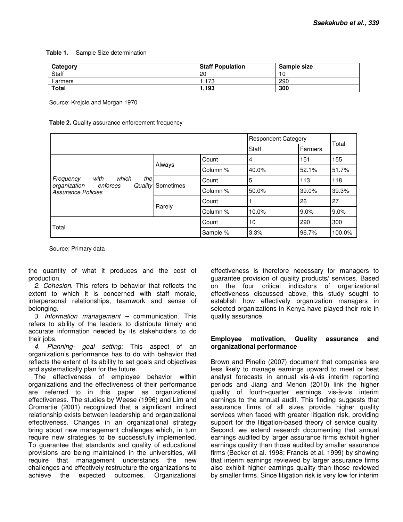#### **Table 1.** Sample Size determination

| Category     | <b>Staff Population</b> | Sample size |
|--------------|-------------------------|-------------|
| Staff        | 20                      | 10          |
| Farmers      | .173                    | 290         |
| <b>Total</b> | 1.193                   | 300         |

Source: Krejcie and Morgan 1970

#### **Table 2.** Quality assurance enforcement frequency

|                                               |                          |          | <b>Respondent Category</b> |         |       |
|-----------------------------------------------|--------------------------|----------|----------------------------|---------|-------|
|                                               |                          |          | Staff                      | Farmers | Total |
|                                               | Always                   | Count    | 4                          | 151     | 155   |
|                                               |                          | Column % | 40.0%                      | 52.1%   | 51.7% |
| which<br>with<br>the<br>Frequency<br>enforces | <b>Quality</b> Sometimes | Count    | 5                          | 113     | 118   |
| organization<br>Assurance Policies            |                          | Column % | 50.0%                      | 39.0%   | 39.3% |
|                                               | Rarely                   | Count    |                            | 26      | 27    |
|                                               |                          | Column % | 10.0%                      | 9.0%    | 9.0%  |
|                                               | Count                    | 10       | 290                        | 300     |       |
| Total                                         | Sample %                 | 3.3%     | 96.7%                      | 100.0%  |       |

Source: Primary data

the quantity of what it produces and the cost of production.

*2. Cohesion.* This refers to behavior that reflects the extent to which it is concerned with staff morale, interpersonal relationships, teamwork and sense of belonging.

*3. Information management –* communication. This refers to ability of the leaders to distribute timely and accurate information needed by its stakeholders to do their jobs.

*4. Planning- goal setting:* This aspect of an organization's performance has to do with behavior that reflects the extent of its ability to set goals and objectives and systematically plan for the future.

The effectiveness of employee behavior within organizations and the effectiveness of their performance are referred to in this paper as organizational effectiveness. The studies by Weese (1996) and Lim and Cromartie (2001) recognized that a significant indirect relationship exists between leadership and organizational effectiveness. Changes in an organizational strategy bring about new management challenges which, in turn require new strategies to be successfully implemented. To guarantee that standards and quality of educational provisions are being maintained in the universities, will require that management understands the new challenges and effectively restructure the organizations to achieve the expected outcomes. Organizational

effectiveness is therefore necessary for managers to guarantee provision of quality products/ services. Based on the four critical indicators of organizational effectiveness discussed above, this study sought to establish how effectively organization managers in selected organizations in Kenya have played their role in quality assurance.

## **Employee motivation, Quality assurance and organizational performance**

Brown and Pinello (2007) document that companies are less likely to manage earnings upward to meet or beat analyst forecasts in annual vis-à-vis interim reporting periods and Jiang and Menon (2010) link the higher quality of fourth-quarter earnings vis-à-vis interim earnings to the annual audit. This finding suggests that assurance firms of all sizes provide higher quality services when faced with greater litigation risk, providing support for the litigation-based theory of service quality. Second, we extend research documenting that annual earnings audited by larger assurance firms exhibit higher earnings quality than those audited by smaller assurance firms (Becker et al. 1998; Francis et al. 1999) by showing that interim earnings reviewed by larger assurance firms also exhibit higher earnings quality than those reviewed by smaller firms. Since litigation risk is very low for interim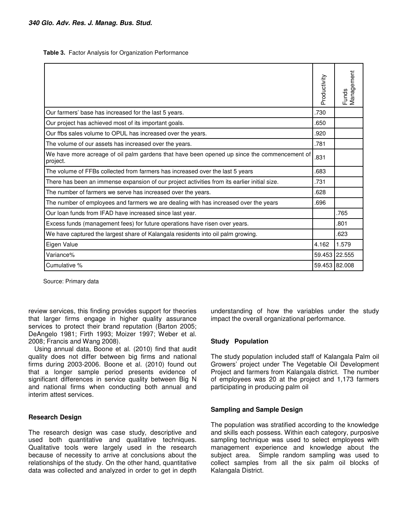**Table 3.** Factor Analysis for Organization Performance

|                                                                                                         | Productivity | Management<br>Funds |
|---------------------------------------------------------------------------------------------------------|--------------|---------------------|
| Our farmers' base has increased for the last 5 years.                                                   | .730         |                     |
| Our project has achieved most of its important goals.                                                   | .650         |                     |
| Our ffbs sales volume to OPUL has increased over the years.                                             | .920         |                     |
| The volume of our assets has increased over the years.                                                  | .781         |                     |
| We have more acreage of oil palm gardens that have been opened up since the commencement of<br>project. | .831         |                     |
| The volume of FFBs collected from farmers has increased over the last 5 years                           | .683         |                     |
| There has been an immense expansion of our project activities from its earlier initial size.            | .731         |                     |
| The number of farmers we serve has increased over the years.                                            | .628         |                     |
| The number of employees and farmers we are dealing with has increased over the years                    | .696         |                     |
| Our loan funds from IFAD have increased since last year.                                                |              | .765                |
| Excess funds (management fees) for future operations have risen over years.                             |              | .801                |
| We have captured the largest share of Kalangala residents into oil palm growing.                        |              | .623                |
| Eigen Value                                                                                             | 4.162        | 1.579               |
| Variance%                                                                                               |              | 59.453 22.555       |
| Cumulative %                                                                                            |              | 59.453 82.008       |

Source: Primary data

review services, this finding provides support for theories that larger firms engage in higher quality assurance services to protect their brand reputation (Barton 2005; DeAngelo 1981; Firth 1993; Moizer 1997; Weber et al. 2008; Francis and Wang 2008).

Using annual data, Boone et al. (2010) find that audit quality does not differ between big firms and national firms during 2003-2006. Boone et al. (2010) found out that a longer sample period presents evidence of significant differences in service quality between Big N and national firms when conducting both annual and interim attest services.

#### **Research Design**

The research design was case study, descriptive and used both quantitative and qualitative techniques. Qualitative tools were largely used in the research because of necessity to arrive at conclusions about the relationships of the study. On the other hand, quantitative data was collected and analyzed in order to get in depth

understanding of how the variables under the study impact the overall organizational performance.

## **Study Population**

The study population included staff of Kalangala Palm oil Growers' project under The Vegetable Oil Development Project and farmers from Kalangala district. The number of employees was 20 at the project and 1,173 farmers participating in producing palm oil

## **Sampling and Sample Design**

The population was stratified according to the knowledge and skills each possess. Within each category, purposive sampling technique was used to select employees with management experience and knowledge about the subject area. Simple random sampling was used to collect samples from all the six palm oil blocks of Kalangala District.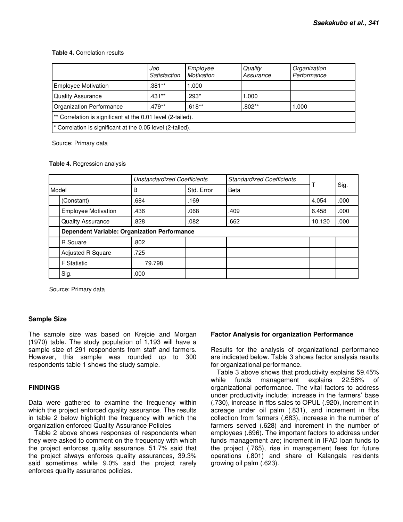## **Table 4.** Correlation results

|                                                             | Job<br>Satisfaction | Employee<br>Motivation | Quality<br>Assurance | Organization<br>Performance |  |
|-------------------------------------------------------------|---------------------|------------------------|----------------------|-----------------------------|--|
| <b>Employee Motivation</b>                                  | $.381**$            | 1.000                  |                      |                             |  |
| <b>Quality Assurance</b>                                    | $.431**$            | .293*                  | .000                 |                             |  |
| Organization Performance                                    | $.479**$            | $.618**$               | $.802**$             | 1.000                       |  |
| ** Correlation is significant at the 0.01 level (2-tailed). |                     |                        |                      |                             |  |
| * Correlation is significant at the 0.05 level (2-tailed).  |                     |                        |                      |                             |  |

Source: Primary data

|  | Table 4. Regression analysis |  |
|--|------------------------------|--|
|  |                              |  |

|       |                                                     | Unstandardized Coefficients |            | <b>Standardized Coefficients</b> | T      | Sig. |
|-------|-----------------------------------------------------|-----------------------------|------------|----------------------------------|--------|------|
| Model |                                                     | B                           | Std. Error | <b>Beta</b>                      |        |      |
|       | (Constant)                                          | .684                        | .169       |                                  | 4.054  | .000 |
|       | <b>Employee Motivation</b>                          | .436                        | .068       | .409                             | 6.458  | .000 |
|       | <b>Quality Assurance</b>                            | .828                        | .082       | .662                             | 10.120 | .000 |
|       | <b>Dependent Variable: Organization Performance</b> |                             |            |                                  |        |      |
|       | R Square                                            | .802                        |            |                                  |        |      |
|       | Adjusted R Square                                   | .725                        |            |                                  |        |      |
|       | <b>F</b> Statistic                                  | 79.798                      |            |                                  |        |      |
|       | Sig.                                                | .000                        |            |                                  |        |      |

Source: Primary data

## **Sample Size**

The sample size was based on Krejcie and Morgan (1970) table. The study population of 1,193 will have a sample size of 291 respondents from staff and farmers. However, this sample was rounded up to 300 respondents table 1 shows the study sample.

## **FINDINGS**

Data were gathered to examine the frequency within which the project enforced quality assurance. The results in table 2 below highlight the frequency with which the organization enforced Quality Assurance Policies

Table 2 above shows responses of respondents when they were asked to comment on the frequency with which the project enforces quality assurance, 51.7% said that the project always enforces quality assurances, 39.3% said sometimes while 9.0% said the project rarely enforces quality assurance policies.

## **Factor Analysis for organization Performance**

Results for the analysis of organizational performance are indicated below. Table 3 shows factor analysis results for organizational performance.

Table 3 above shows that productivity explains 59.45% while funds management explains 22.56% of organizational performance. The vital factors to address under productivity include; increase in the farmers' base (.730), increase in ffbs sales to OPUL (.920), increment in acreage under oil palm (.831), and increment in ffbs collection from farmers (.683), increase in the number of farmers served (.628) and increment in the number of employees (.696). The important factors to address under funds management are; increment in IFAD loan funds to the project (.765), rise in management fees for future operations (.801) and share of Kalangala residents growing oil palm (.623).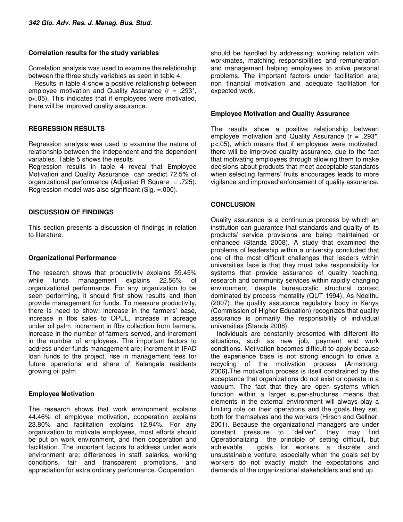#### **Correlation results for the study variables**

Correlation analysis was used to examine the relationship between the three study variables as seen in table 4.

Results in table 4 show a positive relationship between employee motivation and Quality Assurance (r = .293\*, p<.05). This indicates that if employees were motivated, there will be improved quality assurance.

# **REGRESSION RESULTS**

Regression analysis was used to examine the nature of relationship between the independent and the dependent variables. Table 5 shows the results.

Regression results in table 4 reveal that Employee Motivation and Quality Assurance can predict 72.5% of organizational performance (Adjusted R Square  $= .725$ ). Regression model was also significant (Sig. =.000).

# **DISCUSSION OF FINDINGS**

This section presents a discussion of findings in relation to literature.

# **Organizational Performance**

The research shows that productivity explains 59.45% while funds management explains 22.56% of organizational performance. For any organization to be seen performing, it should first show results and then provide management for funds. To measure productivity, there is need to show; increase in the farmers' base, increase in ffbs sales to OPUL, increase in acreage under oil palm, increment in ffbs collection from farmers, increase in the number of farmers served, and increment in the number of employees. The important factors to address under funds management are; increment in IFAD loan funds to the project, rise in management fees for future operations and share of Kalangala residents growing oil palm.

## **Employee Motivation**

The research shows that work environment explains 44.46% of employee motivation, cooperation explains 23.80% and facilitation explains 12.94%. For any organization to motivate employees, most efforts should be put on work environment, and then cooperation and facilitation. The important factors to address under work environment are; differences in staff salaries, working conditions, fair and transparent promotions, and appreciation for extra ordinary performance. Cooperation

should be handled by addressing; working relation with workmates, matching responsibilities and remuneration and management helping employees to solve personal problems. The important factors under facilitation are; non financial motivation and adequate facilitation for expected work.

## **Employee Motivation and Quality Assurance**

The results show a positive relationship between employee motivation and Quality Assurance ( $r = .293$ <sup>\*</sup>, p<.05), which means that if employees were motivated, there will be improved quality assurance, due to the fact that motivating employees through allowing them to make decisions about products that meet acceptable standards when selecting farmers' fruits encourages leads to more vigilance and improved enforcement of quality assurance.

# **CONCLUSION**

Quality assurance is a continuous process by which an institution can guarantee that standards and quality of its products/ service provisions are being maintained or enhanced (Standa 2008). A study that examined the problems of leadership within a university concluded that one of the most difficult challenges that leaders within universities face is that they must take responsibility for systems that provide assurance of quality teaching, research and community services within rapidly changing environment, despite bureaucratic structural context dominated by process mentality (QUT 1994). As Ndeithu (2007); the quality assurance regulatory body in Kenya (Commission of Higher Education) recognizes that quality assurance is primarily the responsibility of individual universities (Standa 2008).

Individuals are constantly presented with different life situations, such as new job, payment and work conditions. Motivation becomes difficult to apply because the experience base is not strong enough to drive a recycling of the motivation process (Armstrong, 2006**).**The motivation process is itself constrained by the acceptance that organizations do not exist or operate in a vacuum. The fact that they are open systems which function within a larger super-structures means that elements in the external environment will always play a limiting role on their operations and the goals they set, both for themselves and the workers (Hirsch and Gellner, 2001). Because the organizational managers are under constant pressure to "deliver", they may find constant pressure to "deliver", they may find Operationalizing the principle of setting difficult, but achievable goals for workers a discrete and unsustainable venture, especially when the goals set by workers do not exactly match the expectations and demands of the organizational stakeholders and end up